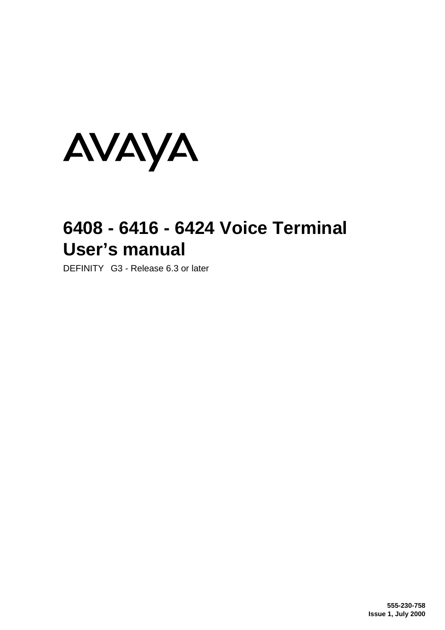

# **6408 - 6416 - 6424 Voice Terminal User's manual**

DEFINITY<sup>®</sup> G3 - Release 6.3 or later

**555-230-758 Issue 1, July 2000**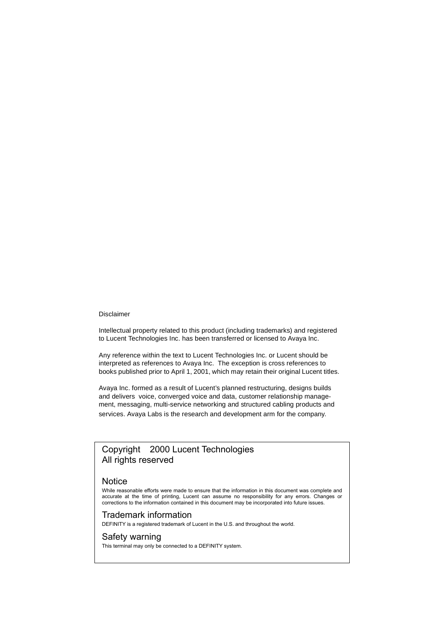#### Disclaimer

Intellectual property related to this product (including trademarks) and registered to Lucent Technologies Inc. has been transferred or licensed to Avaya Inc.

Any reference within the text to Lucent Technologies Inc. or Lucent should be interpreted as references to Avaya Inc. The exception is cross references to books published prior to April 1, 2001, which may retain their original Lucent titles.

Avaya Inc. formed as a result of Lucent's planned restructuring, designs builds and delivers voice, converged voice and data, customer relationship management, messaging, multi-service networking and structured cabling products and services. Avaya Labs is the research and development arm for the company.

# Copyright<sup>©</sup> 2000 Lucent Technologies All rights reserved

### Notice

While reasonable efforts were made to ensure that the information in this document was complete and accurate at the time of printing, Lucent can assume no responsibility for any errors. Changes or corrections to the information contained in this document may be incorporated into future issues.

### Trademark information

DEFINITY is a registered trademark of Lucent in the U.S. and throughout the world.

### Safety warning

This terminal may only be connected to a DEFINITY system.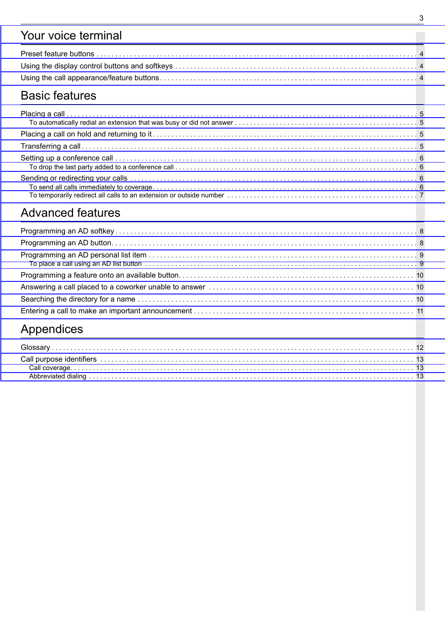# [Your voice terminal](#page-3-0)

# [Basic features](#page-4-0)

# [Advanced features](#page-7-0)

| Appendices |  |
|------------|--|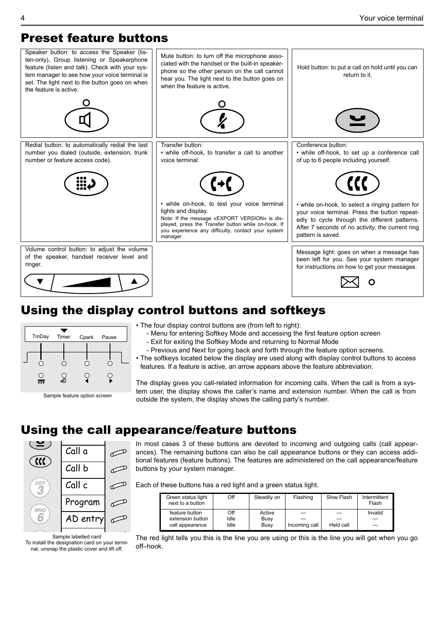# <span id="page-3-3"></span><span id="page-3-0"></span>Preset feature buttons

<span id="page-3-5"></span><span id="page-3-4"></span><span id="page-3-2"></span><span id="page-3-1"></span>

# Using the display control buttons and softkeys



- The four display control buttons are (from left to right):
	- Menu for entering Softkey Mode and accessing the first feature option screen
	- Exit for exiting the Softkey Mode and returning to Normal Mode
	- Previous and Next for going back and forth through the feature option screens.
- The softkeys located below the display are used along with display control buttons to access features. If a feature is active, an arrow appears above the feature abbreviation.

The display gives you call-related information for incoming calls. When the call is from a system user, the display shows the caller's name and extension number. When the call is from Sample feature option screen<br>outside the system, the display shows the calling party's number.

# Using the call appearance/feature buttons



Sample labelled card To install the designation card on your terminal, unsnap the plastic cover and lift off.

In most cases 3 of these buttons are devoted to incoming and outgoing calls (call appearances). The remaining buttons can also be call appearance buttons or they can access additional features (feature buttons). The features are administered on the call appearance/feature buttons by your system manager.

Each of these buttons has a red light and a green status light.

| Green status light<br>next to a button | Off  | Steadily on | Flashing      | Slow Flash | Intermittent<br>Flash |
|----------------------------------------|------|-------------|---------------|------------|-----------------------|
| feature button                         | Off  | Active      |               | —          | Invalid               |
| extension button                       | Idle | Busy        |               |            |                       |
| call appearance                        | Idle | Busy        | Incoming call | Held call  |                       |

The red light tells you this is the line you are using or this is the line you will get when you go off–hook.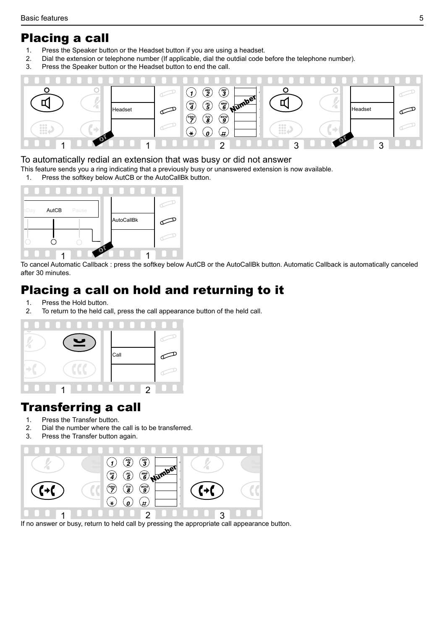# <span id="page-4-4"></span><span id="page-4-1"></span><span id="page-4-0"></span>Placing a call

- 1. Press the Speaker button or the Headset button if you are using a headset.
- 2. Dial the extension or telephone number (If applicable, dial the outdial code before the telephone number).
- 3. Press the Speaker button or the Headset button to end the call.

<span id="page-4-3"></span>

# <span id="page-4-5"></span><span id="page-4-2"></span>To automatically redial an extension that was busy or did not answer

- This feature sends you a ring indicating that a previously busy or unanswered extension is now available.<br>1. Press the softkey below AutCB or the AutoCallBk button.
- Press the softkey below AutCB or the AutoCallBk button.



To cancel Automatic Callback : press the softkey below AutCB or the AutoCallBk button. Automatic Callback is automatically canceled after 30 minutes.

# Placing a call on hold and returning to it

- 1. Press the Hold button.
- 2. To return to the held call, press the call appearance button of the held call.



# Transferring a call

- 1. Press the Transfer button.
- 2. Dial the number where the call is to be transferred.
- 3. Press the Transfer button again.



If no answer or busy, return to held call by pressing the appropriate call appearance button.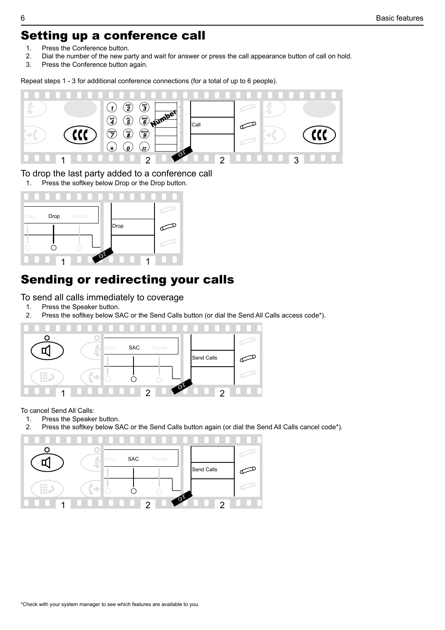# <span id="page-5-4"></span><span id="page-5-3"></span><span id="page-5-0"></span>Setting up a conference call

- 1. Press the Conference button.
- 2. Dial the number of the new party and wait for answer or press the call appearance button of call on hold.<br>3. Press the Conference button again
- Press the Conference button again.

<span id="page-5-1"></span>Repeat steps 1 - 3 for additional conference connections (for a total of up to 6 people).



<span id="page-5-5"></span><span id="page-5-2"></span>To drop the last party added to a conference call

1. Press the softkey below Drop or the Drop button.



# Sending or redirecting your calls

To send all calls immediately to coverage

- 1. Press the Speaker button.
- 2. Press the softkey below SAC or the Send Calls button (or dial the Send All Calls access code\*).



To cancel Send All Calls:

- 1. Press the Speaker button.
- 2. Press the softkey below SAC or the Send Calls button again (or dial the Send All Calls cancel code\*).

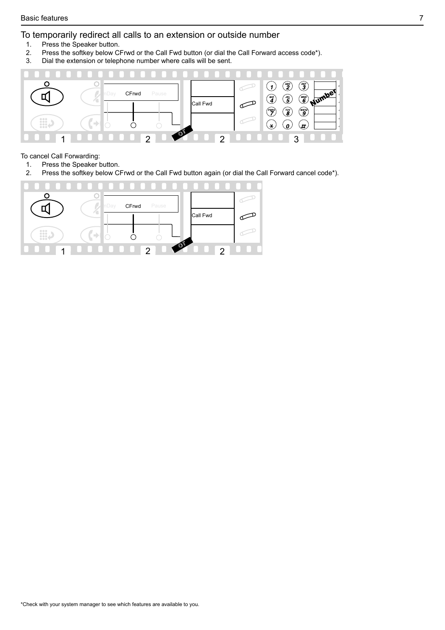# <span id="page-6-1"></span><span id="page-6-0"></span>To temporarily redirect all calls to an extension or outside number

- 1. Press the Speaker button.
- 2. Press the softkey below CFrwd or the Call Fwd button (or dial the Call Forward access code\*).
- 3. Dial the extension or telephone number where calls will be sent.



### To cancel Call Forwarding:

- 1. Press the Speaker button.
- 2. Press the softkey below CFrwd or the Call Fwd button again (or dial the Call Forward cancel code\*).

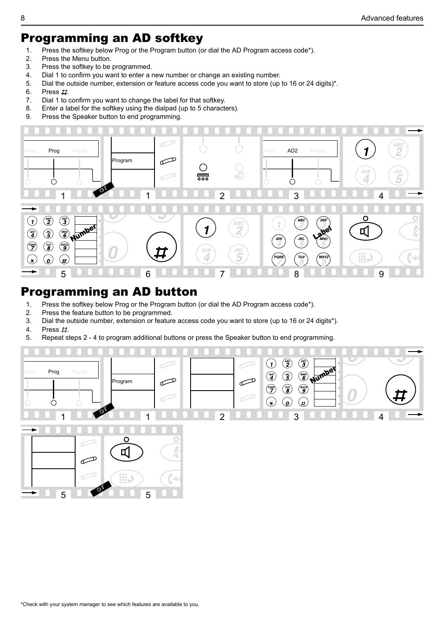# <span id="page-7-2"></span><span id="page-7-0"></span>Programming an AD softkey

- 1. Press the softkey below Prog or the Program button (or dial the AD Program access code\*).
- 2. Press the Menu button.
- 3. Press the softkey to be programmed.
- 4. Dial 1 to confirm you want to enter a new number or change an existing number.
- 5. Dial the outside number, extension or feature access code you want to store (up to 16 or 24 digits)\*.
- 6. Press  $\#$ .
- 7. Dial 1 to confirm you want to change the label for that softkey.
- 8. Enter a label for the softkey using the dialpad (up to 5 characters).
- 9. Press the Speaker button to end programming.

<span id="page-7-1"></span>

# Programming an AD button

- 1. Press the softkey below Prog or the Program button (or dial the AD Program access code\*).
- 2. Press the feature button to be programmed.
- 3. Dial the outside number, extension or feature access code you want to store (up to 16 or 24 digits\*).
- 4. Press  $#$ .
- 5. Repeat steps 2 4 to program additional buttons or press the Speaker button to end programming.



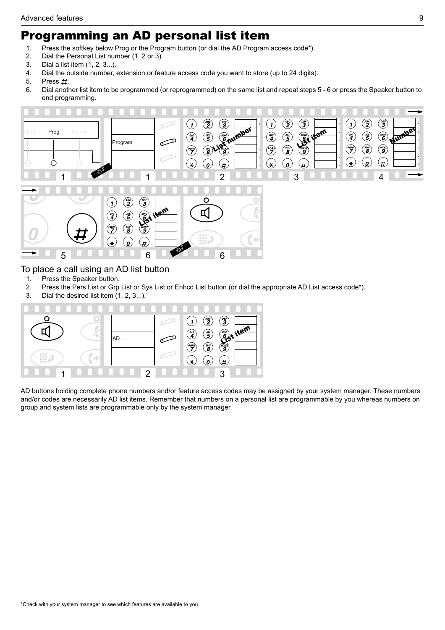# <span id="page-8-0"></span>Programming an AD personal list item

- 1. Press the softkey below Prog or the Program button (or dial the AD Program access code\*).
- 2. Dial the Personal List number (1, 2 or 3).
- 3. Dial a list item (1, 2, 3...).
- 4. Dial the outside number, extension or feature access code you want to store (up to 24 digits).
- 5. Press  $\pm t$ .
- 6. Dial another list item to be programmed (or reprogrammed) on the same list and repeat steps 5 6 or press the Speaker button to end programming.

<span id="page-8-1"></span>

# To place a call using an AD list button

- 1. Press the Speaker button.
- 2. Press the Pers List or Grp List or Sys List or Enhcd List button (or dial the appropriate AD List access code\*).
- 3. Dial the desired list item (1, 2, 3...).



AD buttons holding complete phone numbers and/or feature access codes may be assigned by your system manager. These numbers and/or codes are necessarily AD list items. Remember that numbers on a personal list are programmable by you whereas numbers on group and system lists are programmable only by the system manager.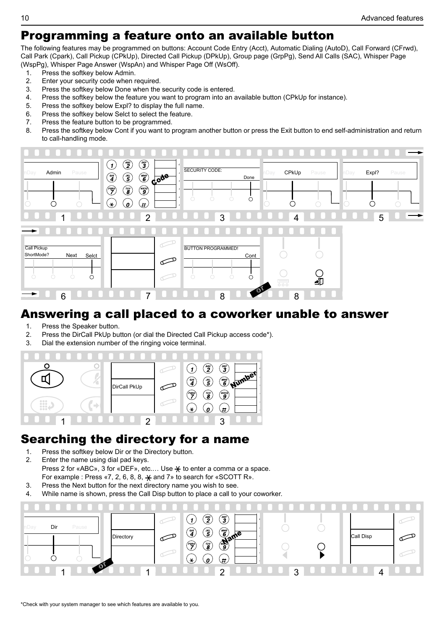# <span id="page-9-2"></span><span id="page-9-0"></span>Programming a feature onto an available button

The following features may be programmed on buttons: Account Code Entry (Acct), Automatic Dialing (AutoD), Call Forward (CFrwd), Call Park (Cpark), Call Pickup (CPkUp), Directed Call Pickup (DPkUp), Group page (GrpPg), Send All Calls (SAC), Whisper Page (WspPg), Whisper Page Answer (WspAn) and Whisper Page Off (WsOff).

- 1. Press the softkey below Admin.
- 2. Enter your security code when required.<br>3 Press the softkey below Done when the
- Press the softkey below Done when the security code is entered.
- 4. Press the softkey below the feature you want to program into an available button (CPkUp for instance).
- 5. Press the softkey below Expl? to display the full name.
- 6. Press the softkey below Selct to select the feature.
- 7. Press the feature button to be programmed.
- 8. Press the softkey below Cont if you want to program another button or press the Exit button to end self-administration and return to call-handling mode.

<span id="page-9-1"></span>

# Answering a call placed to a coworker unable to answer

- 1. Press the Speaker button.
- 2. Press the DirCall PkUp button (or dial the Directed Call Pickup access code\*).
- 3. Dial the extension number of the ringing voice terminal.



# Searching the directory for a name

- 1. Press the softkey below Dir or the Directory button.
- 2. Enter the name using dial pad keys. Press 2 for «ABC», 3 for «DEF», etc.... Use  $\frac{1}{\sqrt{2}}$  to enter a comma or a space. For example : Press  $\kappa$ 7, 2, 6, 8, 8,  $\frac{1}{2}$  and 7» to search for  $\kappa$  SCOTT R».
- 3. Press the Next button for the next directory name you wish to see.
- 4. While name is shown, press the Call Disp button to place a call to your coworker.

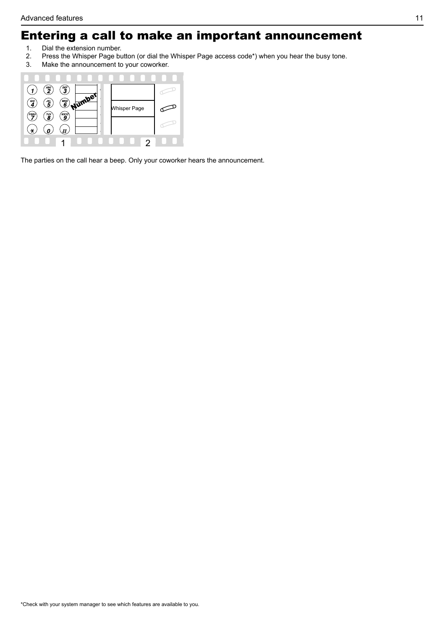# <span id="page-10-1"></span><span id="page-10-0"></span>Entering a call to make an important announcement

- 1. Dial the extension number.<br>2. Press the Whisper Page bu
- 2. Press the Whisper Page button (or dial the Whisper Page access code\*) when you hear the busy tone.<br>3. Make the announcement to vour coworker.
- Make the announcement to your coworker.



The parties on the call hear a beep. Only your coworker hears the announcement.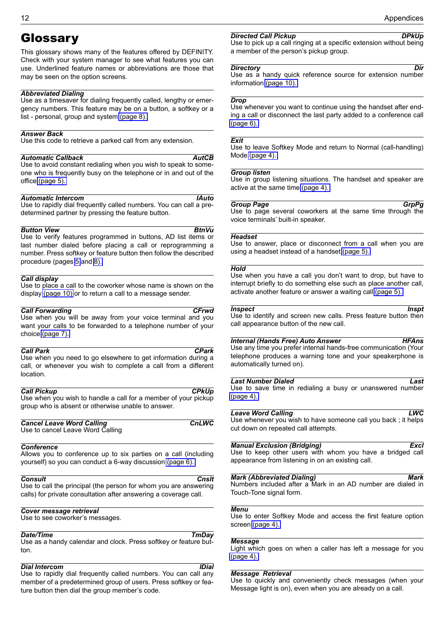# <span id="page-11-0"></span>Glossary

This glossary shows many of the features offered by DEFINITY. Check with your system manager to see what features you can use. Underlined feature names or abbreviations are those that may be seen on the option screens.

### *Abbreviated Dialing*

Use as a timesaver for dialing frequently called, lengthy or emergency numbers. This feature may be on a button, a softkey or a list - personal, group and system [\(page 8\).](#page-7-2)

### *Answer Back*

Use this code to retrieve a parked call from any extension.

#### *Automatic Callback AutCB*

Use to avoid constant redialing when you wish to speak to someone who is frequently busy on the telephone or in and out of the office [\(page 5\).](#page-4-3)

#### *Automatic Intercom IAuto*

Use to rapidly dial frequently called numbers. You can call a predetermined partner by pressing the feature button.

### **Button View BtnVu**

Use to verify features programmed in buttons, AD list items or last number dialed before placing a call or reprogramming a number. Press softkey or feature button then follow the described procedure (pages [5](#page-4-4) and [8\).](#page-7-2)

#### *Call display*

Use to place a call to the coworker whose name is shown on the display [\(page 10\)](#page-9-1) or to return a call to a message sender.

#### *Call Forwarding CFrwd*

Use when you will be away from your voice terminal and you want your calls to be forwarded to a telephone number of your choice [\(page 7\).](#page-6-1)

#### *Call Park CPark*

Use when you need to go elsewhere to get information during a call, or whenever you wish to complete a call from a different location.

#### **Call Pickup CPkUp** Use when you wish to handle a call for a member of your pickup group who is absent or otherwise unable to answer.

**Cancel Leave Word Calling Cancel Leave Word Calling CnLWC** Use to cancel Leave Word Calling

#### *Conference*

Allows you to conference up to six parties on a call (including yourself) so you can conduct a 6-way discussion [\(page 6\).](#page-5-4)

*Consult Cnslt* Use to call the principal (the person for whom you are answering calls) for private consultation after answering a coverage call.

### *Cover message retrieval*

Use to see coworker's messages.

#### *Date/Time TmDay*

Use as a handy calendar and clock. Press softkey or feature button.

#### *Dial Intercom IDial*

Use to rapidly dial frequently called numbers. You can call any member of a predetermined group of users. Press softkey or feature button then dial the group member's code.

#### **Directed Call Pickup DPkUp**

Use to pick up a call ringing at a specific extension without being a member of the person's pickup group.

#### *Directory Dir*

Use as a handy quick reference source for extension number information [\(page 10\).](#page-9-1)

#### *Drop*

Use whenever you want to continue using the handset after ending a call or disconnect the last party added to a conference call [\(page 6\).](#page-5-3)

#### *Exit*

Use to leave Softkey Mode and return to Normal (call-handling) Mode [\(page 4\).](#page-3-2)

#### *Group listen*

Use in group listening situations. The handset and speaker are active at the same time [\(page 4\).](#page-3-3)

### *Group Page GrpPg*

Use to page several coworkers at the same time through the voice terminals' built-in speaker.

#### *Headset*

Use to answer, place or disconnect from a call when you are using a headset instead of a handset [\(page 5\).](#page-4-4)

#### *Hold*

Use when you have a call you don't want to drop, but have to interrupt briefly to do something else such as place another call, activate another feature or answer a waiting call [\(page 5\).](#page-4-5)

### **Inspect** Inspect

Use to identify and screen new calls. Press feature button then call appearance button of the new call.

#### *Internal (Hands Free) Auto Answer HFAns*

Use any time you prefer internal hands-free communication (Your telephone produces a warning tone and your speakerphone is automatically turned on).

#### *Last Number Dialed Last*

Use to save time in redialing a busy or unanswered number [\(page 4\).](#page-3-3)

#### *Leave Word Calling LWC*

Use whenever you wish to have someone call you back ; it helps cut down on repeated call attempts.

### *Manual Exclusion (Bridging) Excl*

Use to keep other users with whom you have a bridged call appearance from listening in on an existing call.

### *Mark (Abbreviated Dialing) Mark*

Numbers included after a Mark in an AD number are dialed in Touch-Tone signal form.

#### *Menu*

Use to enter Softkey Mode and access the first feature option screen [\(page 4\).](#page-3-4)

#### *Message*

Light which goes on when a caller has left a message for you [\(page 4\).](#page-3-4)

#### *Message Retrieval*

Use to quickly and conveniently check messages (when your Message light is on), even when you are already on a call.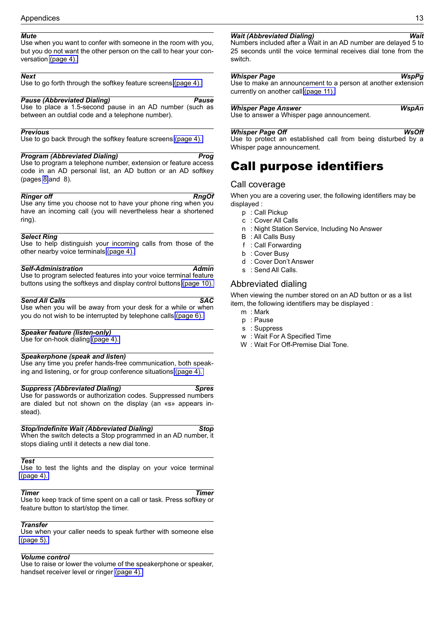## *Mute*

<span id="page-12-0"></span>Use when you want to confer with someone in the room with you, but you do not want the other person on the call to hear your conversation [\(page 4\).](#page-3-3)

### <span id="page-12-1"></span>*Next*

Use to go forth through the softkey feature screens [\(page 4\).](#page-3-2)

### *Pause (Abbreviated Dialing) Pause*

Use to place a 1.5-second pause in an AD number (such as between an outdial code and a telephone number).

## *Previous*

Use to go back through the softkey feature screens [\(page 4\).](#page-3-2)

## <span id="page-12-2"></span>*Program (Abbreviated Dialing)* Program Program Program Program Program Program Program Program Program Program Program Program Program Program Program Program Program Program Program Program Program Program Program Prog

Use to program a telephone number, extension or feature access code in an AD personal list, an AD button or an AD softkey (pages [8](#page-7-2) and 8).

**Ringer off** RngOf Use any time you choose not to have your phone ring when you have an incoming call (you will nevertheless hear a shortened ring).

## *Select Ring*

Use to help distinguish your incoming calls from those of the other nearby voice terminals [\(page 4\).](#page-3-3)

# *Self-Administration Admin*

Use to program selected features into your voice terminal feature buttons using the softkeys and display control buttons [\(page 10\).](#page-9-2)

### **Send All Calls** SAC

Use when you will be away from your desk for a while or when you do not wish to be interrupted by telephone calls [\(page 6\).](#page-5-5)

### *Speaker feature (listen-only)*

Use for on-hook dialing [\(page 4\).](#page-3-3)

### *Speakerphone (speak and listen)*

Use any time you prefer hands-free communication, both speaking and listening, or for group conference situations [\(page 4\).](#page-3-3)

### *Suppress (Abbreviated Dialing) Spres*

Use for passwords or authorization codes. Suppressed numbers are dialed but not shown on the display (an «s» appears instead).

### *Stop/Indefinite Wait (Abbreviated Dialing) Stop*

When the switch detects a Stop programmed in an AD number, it stops dialing until it detects a new dial tone.

# *Test*

Use to test the lights and the display on your voice terminal [\(page 4\).](#page-3-5)

*Timer Timer* Use to keep track of time spent on a call or task. Press softkey or feature button to start/stop the timer.

## *Transfer*

Use when your caller needs to speak further with someone else [\(page 5\).](#page-4-5)

## *Volume control*

Use to raise or lower the volume of the speakerphone or speaker, handset receiver level or ringer [\(page 4\).](#page-3-5)

## *Wait (Abbreviated Dialing) Wait*

Numbers included after a Wait in an AD number are delayed 5 to 25 seconds until the voice terminal receives dial tone from the switch.

*Whisper Page WspPg* Use to make an announcement to a person at another extension currently on another call [\(page 11\).](#page-10-1)

**Whisper Page Answer Williams** WspAn Use to answer a Whisper page announcement.

*Whisper Page Off WsOff* Use to protect an established call from being disturbed by a Whisper page announcement.

# Call purpose identifiers

## Call coverage

When you are a covering user, the following identifiers may be displayed :

- p : Call Pickup
- c : Cover All Calls
- n : Night Station Service, Including No Answer
- B : All Calls Busy
- f : Call Forwarding
- b : Cover Busy
- d : Cover Don't Answer
- s : Send All Calls.

# Abbreviated dialing

When viewing the number stored on an AD button or as a list item, the following identifiers may be displayed :

- m : Mark
- p : Pause
- s : Suppress
- w : Wait For A Specified Time
- W : Wait For Off-Premise Dial Tone.